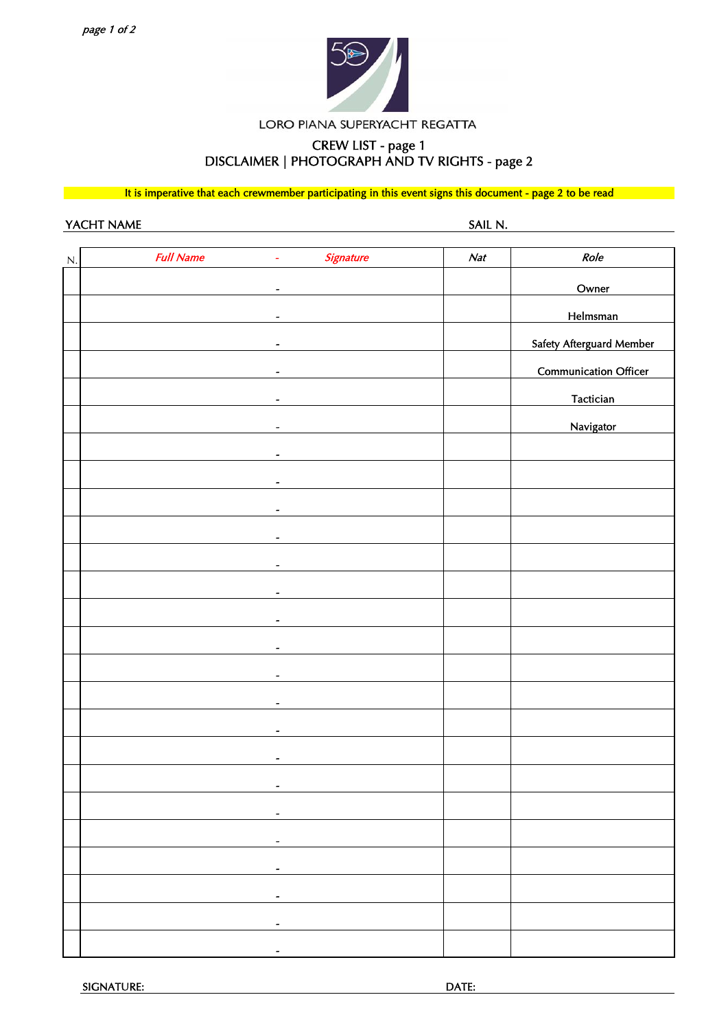

LORO PIANA SUPERYACHT REGATTA

## CREW LIST - page 1 DISCLAIMER | PHOTOGRAPH AND TV RIGHTS - page 2

It is imperative that each crewmember participating in this event signs this document - page 2 to be read

YACHT NAME SAIL N.

| N | <b>Full Name</b><br>ä,       | Signature | Nat | Role                         |
|---|------------------------------|-----------|-----|------------------------------|
|   | $\overline{\phantom{a}}$     |           |     | Owner                        |
|   | $\overline{a}$               |           |     | Helmsman                     |
|   |                              |           |     | Safety Afterguard Member     |
|   | $\overline{\phantom{a}}$     |           |     |                              |
|   | $\qquad \qquad \blacksquare$ |           |     | <b>Communication Officer</b> |
|   | $\overline{\phantom{a}}$     |           |     | Tactician                    |
|   | $\overline{a}$               |           |     | <b>Navigator</b>             |
|   |                              |           |     |                              |
|   | $\overline{a}$               |           |     |                              |
|   | $\overline{\phantom{a}}$     |           |     |                              |
|   | $\overline{\phantom{a}}$     |           |     |                              |
|   |                              |           |     |                              |
|   | $\tilde{\phantom{a}}$        |           |     |                              |
|   | $\tilde{\phantom{a}}$        |           |     |                              |
|   | $\overline{\phantom{a}}$     |           |     |                              |
|   | $\overline{\phantom{a}}$     |           |     |                              |
|   | $\overline{a}$               |           |     |                              |
|   |                              |           |     |                              |
|   | $\tilde{\phantom{a}}$        |           |     |                              |
|   | $\blacksquare$               |           |     |                              |
|   |                              |           |     |                              |
|   | $\overline{\phantom{a}}$     |           |     |                              |
|   |                              |           |     |                              |
|   |                              |           |     |                              |
|   | $\overline{\phantom{a}}$     |           |     |                              |
|   |                              |           |     |                              |
|   | $\overline{\phantom{a}}$     |           |     |                              |
|   |                              |           |     |                              |